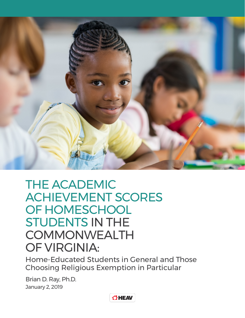

# THE ACADEMIC ACHIEVEMENT SCORES OF HOMESCHOOL STUDENTS IN THE COMMONWEALTH OF VIRGINIA:

Home-Educated Students in General and Those Choosing Religious Exemption in Particular

Brian D. Ray, Ph.D. January 2, 2019

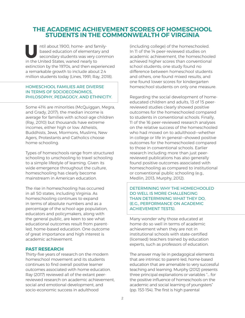## **THE ACADEMIC ACHIEVEMENT SCORES OF HOMESCHOOL STUDENTS IN THE COMMONWEALTH OF VIRGINIA**

IUNT INCOURTED A Secondary students was very communities the United States, waned nearly to based education of elementary and secondary students was very common extinction by the 1970s, and then experienced a remarkable growth to include about 2.4 million students today (Lines, 1991; Ray, 2018).

#### HOMESCHOOL FAMILIES ARE DIVERSE IN TERMS OF SOCIOECONOMICS, PHILOSOPHY, PEDAGOGY, AND ETHNICITY.

Some 41% are minorities (McQuiggan, Megra, and Grady, 2017); the median income is average for families with school-age children (Ray, 2010) but thousands have extreme incomes, either high or low. Atheists, Buddhists, Jews, Mormons, Muslims, New Agers, Protestants and Catholics choose home-schooling.

Types of homeschools range from structured schooling to unschooling to travel schooling to a simple lifestyle of learning. Given its wide emergence throughout the culture, homeschooling has clearly become mainstream in American education.

The rise in homeschooling has occurred in all 50 states, including Virginia. As homeschooling continues to expand in terms of absolute numbers and as a percentage of the school-age population, educators and policymakers, along with the general public, are keen to see what educational outcomes result from parentled, home-based education. One outcome of great importance and high interest is academic achievement.

#### **PAST RESEARCH**

Thirty-five years of research on the modern homeschool movement and its students continues to find overall positive learner outcomes associated with home education. Ray (2017) reviewed all of the extant peerreviewed research on academic achievement, social and emotional development, and socio-economic success in adulthood

(including college) of the homeschooled. In 11 of the 14 peer-reviewed studies on academic achievement, the homeschooled achieved higher scores than conventional school students; one study found no difference between homeschool students and others, one found mixed results, and one found lower scores for kindergarten homeschool students on only one measure.

Regarding the social development of homeeducated children and adults, 13 of 15 peerreviewed studies clearly showed positive outcomes for the homeschooled compared to students in conventional schools. Finally, 11 of the 16 peer-reviewed research analyses on the relative success of the homeschooled who had moved on to adulthood—whether in college or life in general—showed positive outcomes for the homeschooled compared to those in conventional schools. Earlier research including more than just peerreviewed publications has also generally found positive outcomes associated with homeschooling as compared to institutional or conventional public schooling (e.g., Medlin, 2013; Murphy, 2012).

#### DETERMINING WHY THE HOMECHOOLED DO WELL IS MORE CHALLENGING THAN DETERMINING WHAT THEY DO, (E.G., PERFORMANCE ON ACADEMIC ACHIEVEMENT TESTS).

Many wonder why those educated at home do so well in terms of academic achievement when they are not in institutional schools with state-certified (licensed) teachers trained by education experts, such as professors of education.

The answer may lie in pedagogical elements that are intrinsic to parent-led, home-based education that are amenable to very successful teaching and learning. Murphy (2012) presents three principal explanations or variables "… for the positive influence of homeschools on the academic and social learning of youngsters" (pp. 153-154). The first is high parental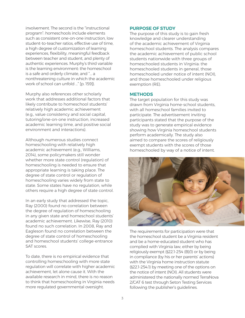involvement. The second is the "instructional program": homeschools include elements such as consistent one-on-one instruction, low student-to-teacher ratios, effective use of time, a high degree of customization of learning experiences, flexibility, meaningful feedback between teacher and student, and plenty of authentic experiences. Murphy's third variable is the learning environment: the homeschool is a safe and orderly climate, and "… a nonthreatening culture in which the academic work of school can unfold …" [p. 159]).

Murphy also references other scholarly work that addresses additional factors that likely contribute to homeschool students' relatively high academic achievement (e.g., value consistency and social capital, tutoring/one-on-one instruction, increased academic learning time, and positive social environment and interactions).

Although numerous studies connect homeschooling with relatively high academic achievement (e.g., Williams, 2014), some policymakers still wonder whether more state control (regulation) of homeschooling is needed to ensure that appropriate learning is taking place. The degree of state control or regulation of homeschooling varies widely from state to state. Some states have no regulation, while others require a high degree of state control.

In an early study that addressed the topic, Ray (2000) found no correlation between the degree of regulation of homeschooling in any given state and homeschool students' academic achievement. Likewise, Ray (2010) found no such correlation. In 2008, Ray and Eagleson found no correlation between the degree of state control of homeschooling and homeschool students' college-entrance SAT scores.

To date, there is no empirical evidence that controlling homeschooling with more state regulation will correlate with higher academic achievement, let alone cause it. With the available research in mind, there is no reason to think that homeschooling in Virginia needs more regulated governmental oversight.

#### **PURPOSE OF STUDY**

The purpose of this study is to gain fresh knowledge and clearer understanding of the academic achievement of Virginia homeschool students. The analysis compares the academic achievement of public school students nationwide with three groups of homeschooled students in Virginia: the homeschooled students in general, those homeschooled under notice of intent (NOI), and those homeschooled under religious exemption (RE).

#### **METHODS**

The target population for this study was drawn from Virginia home-school students, with all homeschool families invited to participate. The advertisement inviting participants stated that the purpose of the study was to generate empirical evidence showing how Virginia homeschool students perform academically. The study also aimed to compare the scores of religiously exempt students with the scores of those homeschooled by way of a notice of intent.



The requirements for participation were that the homeschool student be a Virginia resident and be a home-educated student who has complied with Virginia law, either by being religiously exempt (§22.1-254 (B)(1) or by being in compliance (by his or her parents' actions) with the Virginia home instruction statute (§22.1-254.1) by meeting one of the options on the notice of intent (NOI). All students were administered the nationally normed TerraNova 2/CAT 6 test through Seton Testing Services following the publisher's guidelines.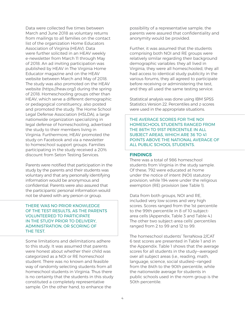Data were collected five times between March and June 2018 as voluntary returns from mailings to all families on the contact list of the organization Home Educators Association of Virginia (HEAV). Data were further solicited in an HEAV weekly e-newsletter from March 11 through May of 2018. An ad inviting participation was published by HEAV in The Virginia Home Educator magazine and on the HEAV website between March and May of 2018. The study was also promoted on the HEAV website (https://heav.org/) during the spring of 2018. Homeschooling groups other than HEAV, which serve a different demographic or pedagogical constituency, also posted and promoted the study. The Home School Legal Defense Association (HSLDA), a large nationwide organization specializing in legal defense of homeschooling, advertised the study to their members living in Virginia. Furthermore, HEAV promoted the study on Facebook and via a newsletter to homeschool support groups. Families participating in the study received a 20% discount from Seton Testing Services.

Parents were notified that participation in the study by the parents and their students was voluntary and that any personally identifying information would be anonymous and confidential. Parents were also assured that the participants' personal information would not be shared with any person or group.

#### THERE WAS NO PRIOR KNOWLEDGE OF THE TEST RESULTS, AS THE PARENTS VOLUNTEERED TO PARTICIPATE IN THE STUDY PRIOR TO DELIVERY, ADMINISTRATION, OR SCORING OF THE TEST.

Some limitations and delimitations adhere to this study. It was assumed that parents were honest about whether their child was categorized as a NOI or RE homeschool student. There was no known and feasible way of randomly selecting students from all homeschool students in Virginia. Thus there is no certainty that the students in this study constituted a completely representative sample. On the other hand, to enhance the

possibility of a representative sample, the parents were assured that confidentiality and anonymity would be provided.

Further, it was assumed that the students comprising both NOI and RE groups were relatively similar regarding their background demographic variables: they all lived in Virginia, they were all homeschooled, they all had access to identical study publicity in the various forums, they all agreed to participate before receiving or administering the test, and they all used the same testing service.

Statistical analysis was done using IBM SPSS Statistics Version 22. Percentiles and z-scores were used in the appropriate situations.

THE AVERAGE SCORES FOR THE NOI HOMESCHOOL STUDENTS RANGED FROM THE 86TH TO 91ST PERCENTILE IN ALL SUBJECT AREAS, WHICH ARE 36 TO 41 POINTS ABOVE THE NATIONAL AVERAGE OF ALL PUBLIC SCHOOL STUDENTS.

#### **FINDINGS**

There was a total of 986 homeschool students from Virginia in the study sample. Of these, 792 were educated at home under the notice of intent (NOI) statutory provision, while 194 were under the religious exemption (RE) provision (see Table 1).

Data from both groups, NOI and RE, included very low scores and very high scores. Scores ranged from the 1st percentile to the 99th percentile in 8 of 10 subjectarea cells (Appendix, Table 3 and Table 4.) The other two subject-area cells' percentiles ranged from 2 to 99 and 12 to 99.

The homeschool students' TerraNova 2/CAT 6 test scores are presented in Table 1 and in the Appendix. Table 1 shows that the average scores for all students in the study—averaged over all subject areas (i.e., reading, math, language, science, social studies)—ranged from the 84th to the 90th percentile, while the nationwide average for students in public schools used in the norm group is the 50th percentile.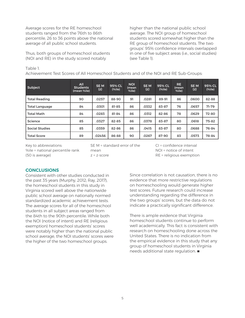Average scores for the RE homeschool students ranged from the 76th to 86th percentile, 26 to 36 points above the national average of all public school students.

Thus, both groups of homeschool students (NOI and RE) in the study scored notably

higher than the national public school average. The NOI group of homeschool students scored somewhat higher than the RE group of homeschool students. The two groups' 95% confidence intervals overlapped in one of five subject areas (i.e., social studies) (see Table 1).

#### Table 1.

Achievement Test Scores of All Homeschool Students and of the NOI and RE Sub-Groups:

| Subject               | All<br><b>Students</b><br>(mean %ile) | <b>SEM</b><br>(z) | 95% CL<br>(% ) | <b>NOI</b><br>(mean<br>%ile) | <b>SEM</b><br>(z) | 95% CL<br>(% ) | RE.<br>mean)<br>%ile) | SE <sub>M</sub><br>(z) | 95% CL<br>(%ile) |
|-----------------------|---------------------------------------|-------------------|----------------|------------------------------|-------------------|----------------|-----------------------|------------------------|------------------|
| <b>Total Reading</b>  | 90                                    | .0257             | 88-90          | 91                           | .0281             | 89-91          | 86                    | .0600                  | 82-88            |
| <b>Total Language</b> | 84                                    | .0301             | 81-85          | 86                           | .0332             | 83-87          | 76                    | .0657                  | $71-79$          |
| <b>Total Math</b>     | 84                                    | .0283             | 81-84          | 86                           | .0312             | 82-86          | 78                    | .0629                  | 72-80            |
| Science               | 85                                    | .0327             | 82-85          | 86                           | .0378             | 83-87          | 80                    | .0618                  | 75-82            |
| <b>Social Studies</b> | 85                                    | .0359             | 82-86          | 86                           | .0415             | 83-87          | 80                    | .0688                  | 76-84            |
| <b>Total Score</b>    | 89                                    | .02456            | 86-88          | 90                           | .0267             | 87-90          | 83                    | .0573                  | 78-84            |

Key to abbreviations: %ile = national percentile rank (50 is average)

SE M = standard error of the mean z = z-score

CI = confidence interval NOI = notice of intent RE = religious exemption

### **CONCLUSIONS**

Consistent with other studies conducted in the past 35 years (Murphy, 2012; Ray, 2017), the homeschool students in this study in Virginia scored well above the nationwide public school average on nationally normed standardized academic achievement tests. The average scores for all of the homeschool students in all subject areas ranged from the 84th to the 90th percentile. While both the NOI (notice of intent) and RE (religious exemption) homeschool students' scores were notably higher than the national public school average, the NOI students' scores were the higher of the two homeschool groups.

Since correlation is not causation, there is no evidence that more restrictive regulations on homeschooling would generate higher test scores. Future research could increase understanding regarding the difference in the two groups' scores, but the data do not indicate a practically significant difference.

There is ample evidence that Virginia homeschool students continue to perform well academically. This fact is consistent with research on homeschooling done across the United States. There is no indication from the empirical evidence in this study that any group of homeschool students in Virginia  $needs additional state regulation.  $\blacksquare$$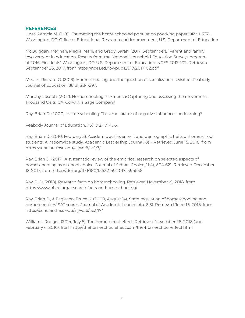#### **REFERENCES**

Lines, Patricia M. (1991). Estimating the home schooled population (Working paper OR 91-537). Washington, DC: Office of Educational Research and Improvement, U.S. Department of Education.

McQuiggan, Meghan; Megra, Mahi; and Grady, Sarah. (2017, September). "Parent and family involvement in education: Results from the National Household Education Surveys program of 2016: First look." Washington, DC: U.S. Department of Education. NCES 2017-102. Retrieved September 26, 2017, from https://nces.ed.gov/pubs2017/2017102.pdf

Medlin, Richard G. (2013). Homeschooling and the question of socialization revisited. Peabody Journal of Education, 88(3), 284-297.

Murphy, Joseph. (2012). Homeschooling in America: Capturing and assessing the movement. Thousand Oaks, CA: Corwin, a Sage Company.

Ray, Brian D. (2000). Home schooling: The ameliorator of negative influences on learning?

Peabody Journal of Education, 75(1 & 2), 71-106.

Ray, Brian D. (2010, February 3). Academic achievement and demographic traits of homeschool students: A nationwide study. Academic Leadership Journal, 8(1). Retrieved June 15, 2018, from https://scholars.fhsu.edu/alj/vol8/iss1/7/

Ray, Brian D. (2017). A systematic review of the empirical research on selected aspects of homeschooling as a school choice. Journal of School Choice, 11(4), 604-621. Retrieved December 12, 2017, from https://doi.org/10.1080/15582159.2017.1395638

Ray, B. D. (2018). Research facts on homeschooling. Retrieved November 21, 2018, from https://www.nheri.org/research-facts-on-homeschooling/

Ray, Brian D., & Eagleson, Bruce K. (2008, August 14). State regulation of homeschooling and homeschoolers' SAT scores. Journal of Academic Leadership, 6(3). Retrieved June 15, 2018, from https://scholars.fhsu.edu/alj/vol6/iss3/17/

Williams, Rodger. (2014, July 5). The homeschool effect. Retrieved November 28, 2018 (and February 4, 2016), from http://thehomeschooleffect.com/the-homeschool-effect.html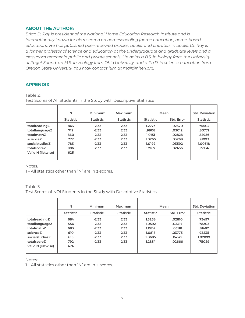#### **ABOUT THE AUTHOR:**

*Brian D. Ray is president of the National Home Education Research Institute and is internationally known for his research on homeschooling (home education, home-based education). He has published peer-reviewed articles, books, and chapters in books. Dr. Ray is a former professor of science and education at the undergraduate and graduate levels and a classroom teacher in public and private schools. He holds a B.S. in biology from the University of Puget Sound, an M.S. in zoology from Ohio University, and a Ph.D. in science education from Oregon State University. You may contact him at mail@nheri.org.*

#### **APPENDIX**

Table 2.

Test Scores of All Students in the Study with Descriptive Statistics

|                    | N                | Minimum                | Maximum          | Mean             | <b>Std. Deviation</b> |                  |
|--------------------|------------------|------------------------|------------------|------------------|-----------------------|------------------|
|                    | <b>Statistic</b> | Statistic <sup>1</sup> | <b>Statistic</b> | <b>Statistic</b> | Std. Error            | <b>Statistic</b> |
| totalreadingZ      | 863              | $-2.33$                | 2.33             | 1.2773           | .02570                | .75504           |
| totallanguageZ     | 719              | $-2.33$                | 2.33             | .9808            | .03012                | .80771           |
| totalmathZ         | 860              | $-2.33$                | 2.33             | 1.0151           | .02828                | .82926           |
| scienceZ           | 777              | $-2.33$                | 2.33             | 1.0265           | .03268                | .91093           |
| socialstudiesZ     | 783              | $-2.33$                | 2.33             | 1.0192           | .03592                | 1.00518          |
| totalscoreZ        | 986              | $-2.33$                | 2.33             | 1.2167           | .02456                | .77134           |
| Valid N (listwise) | 625              |                        |                  |                  |                       |                  |
|                    |                  |                        |                  |                  |                       |                  |

Notes:

1 – All statistics other than "N" are in z-scores.

## Table 3.

Test Scores of NOI Students in the Study with Descriptive Statistics

|                                                                                                                  | N                                             | Minimum                                                        | Maximum                                      | Mean                                                     | <b>Std. Deviation</b>                                    |                                                           |
|------------------------------------------------------------------------------------------------------------------|-----------------------------------------------|----------------------------------------------------------------|----------------------------------------------|----------------------------------------------------------|----------------------------------------------------------|-----------------------------------------------------------|
|                                                                                                                  | <b>Statistic</b>                              | Statistic <sup>1</sup>                                         | <b>Statistic</b>                             | <b>Statistic</b>                                         | Std. Error                                               | <b>Statistic</b>                                          |
| totalreadingZ<br>totallanguageZ<br>totalmathZ<br>scienceZ<br>socialstudiesZ<br>totalscoreZ<br>Valid N (listwise) | 684<br>556<br>683<br>610<br>615<br>792<br>474 | $-2.33$<br>$-2.33$<br>$-2.33$<br>$-2.33$<br>$-2.33$<br>$-2.33$ | 2.33<br>2.33<br>2.33<br>2.33<br>2.33<br>2.33 | 1.3258<br>1.0592<br>1.0814<br>1.0818<br>1.0695<br>1.2834 | .02810<br>.03317<br>.03118<br>.03775<br>.04149<br>.02666 | .73497<br>.78203<br>.81492<br>.93235<br>1.02899<br>.75029 |

Notes:

1 – All statistics other than "N" are in z-scores.